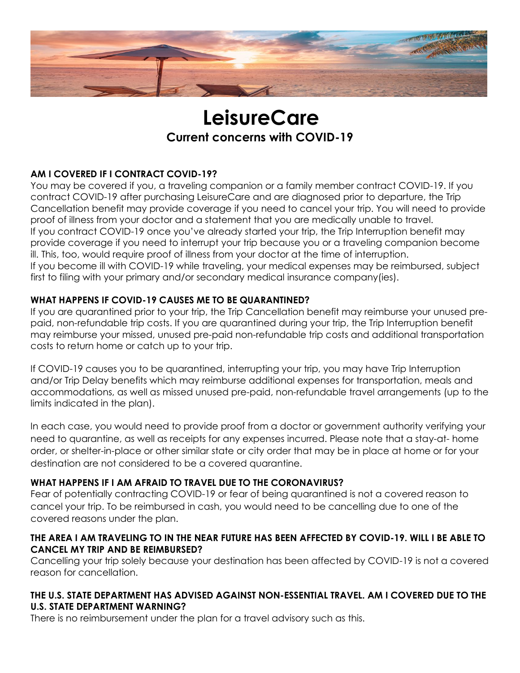

# **LeisureCare Current concerns with COVID-19**

# **AM I COVERED IF I CONTRACT COVID-19?**

You may be covered if you, a traveling companion or a family member contract COVID-19. If you contract COVID-19 after purchasing LeisureCare and are diagnosed prior to departure, the Trip Cancellation benefit may provide coverage if you need to cancel your trip. You will need to provide proof of illness from your doctor and a statement that you are medically unable to travel. If you contract COVID-19 once you've already started your trip, the Trip Interruption benefit may provide coverage if you need to interrupt your trip because you or a traveling companion become ill. This, too, would require proof of illness from your doctor at the time of interruption. If you become ill with COVID-19 while traveling, your medical expenses may be reimbursed, subject first to filing with your primary and/or secondary medical insurance company(ies).

# **WHAT HAPPENS IF COVID-19 CAUSES ME TO BE QUARANTINED?**

If you are quarantined prior to your trip, the Trip Cancellation benefit may reimburse your unused prepaid, non-refundable trip costs. If you are quarantined during your trip, the Trip Interruption benefit may reimburse your missed, unused pre-paid non-refundable trip costs and additional transportation costs to return home or catch up to your trip.

If COVID-19 causes you to be quarantined, interrupting your trip, you may have Trip Interruption and/or Trip Delay benefits which may reimburse additional expenses for transportation, meals and accommodations, as well as missed unused pre-paid, non-refundable travel arrangements (up to the limits indicated in the plan).

In each case, you would need to provide proof from a doctor or government authority verifying your need to quarantine, as well as receipts for any expenses incurred. Please note that a stay-at- home order, or shelter-in-place or other similar state or city order that may be in place at home or for your destination are not considered to be a covered quarantine.

# **WHAT HAPPENS IF I AM AFRAID TO TRAVEL DUE TO THE CORONAVIRUS?**

Fear of potentially contracting COVID-19 or fear of being quarantined is not a covered reason to cancel your trip. To be reimbursed in cash, you would need to be cancelling due to one of the covered reasons under the plan.

### **THE AREA I AM TRAVELING TO IN THE NEAR FUTURE HAS BEEN AFFECTED BY COVID-19. WILL I BE ABLE TO CANCEL MY TRIP AND BE REIMBURSED?**

Cancelling your trip solely because your destination has been affected by COVID-19 is not a covered reason for cancellation.

# **THE U.S. STATE DEPARTMENT HAS ADVISED AGAINST NON-ESSENTIAL TRAVEL. AM I COVERED DUE TO THE U.S. STATE DEPARTMENT WARNING?**

There is no reimbursement under the plan for a travel advisory such as this.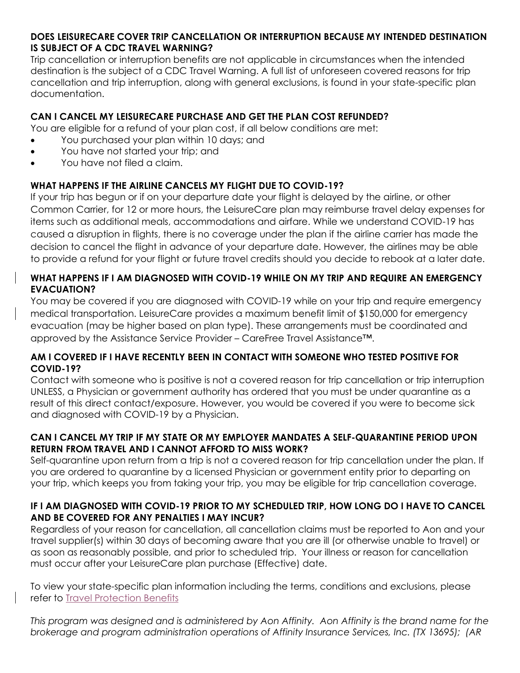### **DOES LEISURECARE COVER TRIP CANCELLATION OR INTERRUPTION BECAUSE MY INTENDED DESTINATION IS SUBJECT OF A CDC TRAVEL WARNING?**

Trip cancellation or interruption benefits are not applicable in circumstances when the intended destination is the subject of a CDC Travel Warning. A full list of unforeseen covered reasons for trip cancellation and trip interruption, along with general exclusions, is found in your state-specific plan documentation.

# **CAN I CANCEL MY LEISURECARE PURCHASE AND GET THE PLAN COST REFUNDED?**

You are eligible for a refund of your plan cost, if all below conditions are met:

- You purchased your plan within 10 days; and
- You have not started your trip; and
- You have not filed a claim.

# **WHAT HAPPENS IF THE AIRLINE CANCELS MY FLIGHT DUE TO COVID-19?**

If your trip has begun or if on your departure date your flight is delayed by the airline, or other Common Carrier, for 12 or more hours, the LeisureCare plan may reimburse travel delay expenses for items such as additional meals, accommodations and airfare. While we understand COVID-19 has caused a disruption in flights, there is no coverage under the plan if the airline carrier has made the decision to cancel the flight in advance of your departure date. However, the airlines may be able to provide a refund for your flight or future travel credits should you decide to rebook at a later date.

# **WHAT HAPPENS IF I AM DIAGNOSED WITH COVID-19 WHILE ON MY TRIP AND REQUIRE AN EMERGENCY EVACUATION?**

You may be covered if you are diagnosed with COVID-19 while on your trip and require emergency medical transportation. LeisureCare provides a maximum benefit limit of \$150,000 for emergency evacuation (may be higher based on plan type). These arrangements must be coordinated and approved by the Assistance Service Provider – CareFree Travel Assistance™.

### **AM I COVERED IF I HAVE RECENTLY BEEN IN CONTACT WITH SOMEONE WHO TESTED POSITIVE FOR COVID-19?**

Contact with someone who is positive is not a covered reason for trip cancellation or trip interruption UNLESS, a Physician or government authority has ordered that you must be under quarantine as a result of this direct contact/exposure. However, you would be covered if you were to become sick and diagnosed with COVID-19 by a Physician.

# **CAN I CANCEL MY TRIP IF MY STATE OR MY EMPLOYER MANDATES A SELF-QUARANTINE PERIOD UPON RETURN FROM TRAVEL AND I CANNOT AFFORD TO MISS WORK?**

Self-quarantine upon return from a trip is not a covered reason for trip cancellation under the plan. If you are ordered to quarantine by a licensed Physician or government entity prior to departing on your trip, which keeps you from taking your trip, you may be eligible for trip cancellation coverage.

### **IF I AM DIAGNOSED WITH COVID-19 PRIOR TO MY SCHEDULED TRIP, HOW LONG DO I HAVE TO CANCEL AND BE COVERED FOR ANY PENALTIES I MAY INCUR?**

Regardless of your reason for cancellation, all cancellation claims must be reported to Aon and your travel supplier(s) within 30 days of becoming aware that you are ill (or otherwise unable to travel) or as soon as reasonably possible, and prior to scheduled trip. Your illness or reason for cancellation must occur after your LeisureCare plan purchase (Effective) date.

To view your state-specific plan information including the terms, conditions and exclusions, please refer to [Travel Protection Benefits](https://coverage.archinsurancesolutions.com/description-of-coverage/bca882ba-cb0b-ea11-8124-1418776a18cb)

*This program was designed and is administered by Aon Affinity. Aon Affinity is the brand name for the brokerage and program administration operations of Affinity Insurance Services, Inc. (TX 13695); (AR*